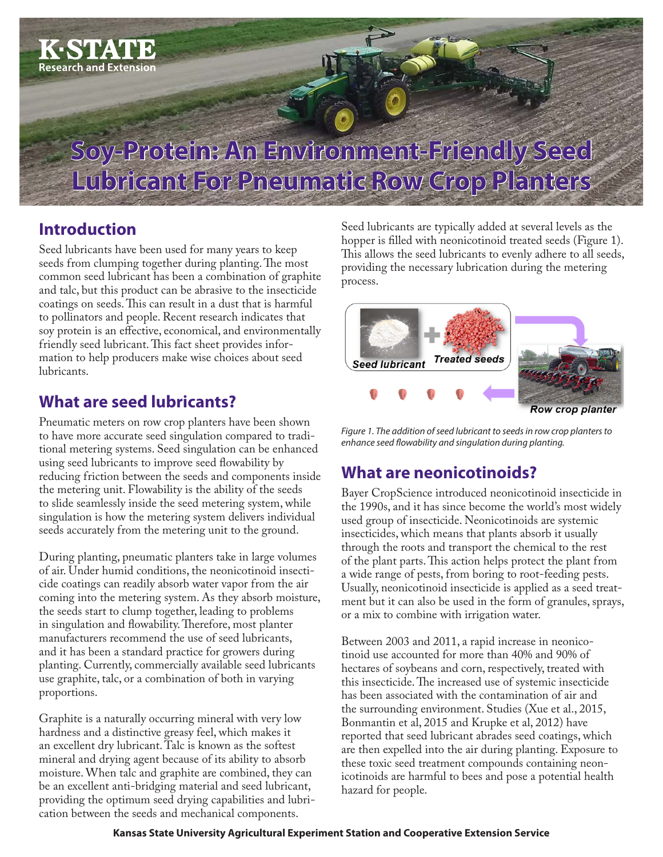

### **Introduction**

Seed lubricants have been used for many years to keep seeds from clumping together during planting. The most common seed lubricant has been a combination of graphite and talc, but this product can be abrasive to the insecticide coatings on seeds. This can result in a dust that is harmful to pollinators and people. Recent research indicates that soy protein is an effective, economical, and environmentally friendly seed lubricant. This fact sheet provides information to help producers make wise choices about seed lubricants.

### **What are seed lubricants?**

Pneumatic meters on row crop planters have been shown to have more accurate seed singulation compared to traditional metering systems. Seed singulation can be enhanced using seed lubricants to improve seed flowability by reducing friction between the seeds and components inside the metering unit. Flowability is the ability of the seeds to slide seamlessly inside the seed metering system, while singulation is how the metering system delivers individual seeds accurately from the metering unit to the ground.

During planting, pneumatic planters take in large volumes of air. Under humid conditions, the neonicotinoid insecticide coatings can readily absorb water vapor from the air coming into the metering system. As they absorb moisture, the seeds start to clump together, leading to problems in singulation and flowability. Therefore, most planter manufacturers recommend the use of seed lubricants, and it has been a standard practice for growers during planting. Currently, commercially available seed lubricants use graphite, talc, or a combination of both in varying proportions.

Graphite is a naturally occurring mineral with very low hardness and a distinctive greasy feel, which makes it an excellent dry lubricant. Talc is known as the softest mineral and drying agent because of its ability to absorb moisture. When talc and graphite are combined, they can be an excellent anti-bridging material and seed lubricant, providing the optimum seed drying capabilities and lubrication between the seeds and mechanical components.

Seed lubricants are typically added at several levels as the hopper is filled with neonicotinoid treated seeds (Figure 1). This allows the seed lubricants to evenly adhere to all seeds, providing the necessary lubrication during the metering process.



*Figure 1. The addition of seed lubricant to seeds in row crop planters to enhance seed flowability and singulation during planting.*

### **What are neonicotinoids?**

Bayer CropScience introduced neonicotinoid insecticide in the 1990s, and it has since become the world's most widely used group of insecticide. Neonicotinoids are systemic insecticides, which means that plants absorb it usually through the roots and transport the chemical to the rest of the plant parts. This action helps protect the plant from a wide range of pests, from boring to root-feeding pests. Usually, neonicotinoid insecticide is applied as a seed treatment but it can also be used in the form of granules, sprays, or a mix to combine with irrigation water.

Between 2003 and 2011, a rapid increase in neonicotinoid use accounted for more than 40% and 90% of hectares of soybeans and corn, respectively, treated with this insecticide. The increased use of systemic insecticide has been associated with the contamination of air and the surrounding environment. Studies (Xue et al., 2015, Bonmantin et al, 2015 and Krupke et al, 2012) have reported that seed lubricant abrades seed coatings, which are then expelled into the air during planting. Exposure to these toxic seed treatment compounds containing neonicotinoids are harmful to bees and pose a potential health hazard for people.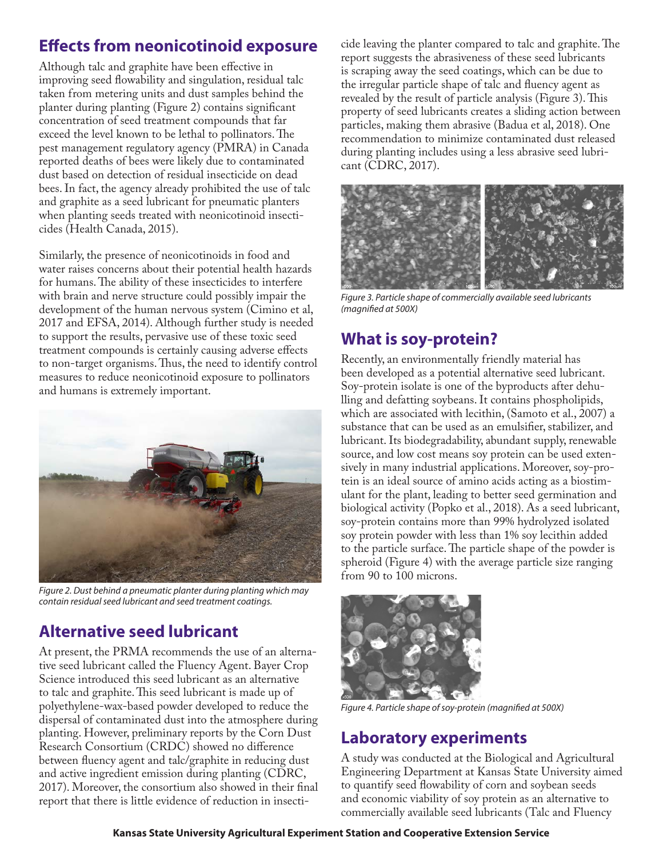## **Effects from neonicotinoid exposure**

Although talc and graphite have been effective in improving seed flowability and singulation, residual talc taken from metering units and dust samples behind the planter during planting (Figure 2) contains significant concentration of seed treatment compounds that far exceed the level known to be lethal to pollinators. The pest management regulatory agency (PMRA) in Canada reported deaths of bees were likely due to contaminated dust based on detection of residual insecticide on dead bees. In fact, the agency already prohibited the use of talc and graphite as a seed lubricant for pneumatic planters when planting seeds treated with neonicotinoid insecticides (Health Canada, 2015).

Similarly, the presence of neonicotinoids in food and water raises concerns about their potential health hazards for humans. The ability of these insecticides to interfere with brain and nerve structure could possibly impair the development of the human nervous system (Cimino et al, 2017 and EFSA, 2014). Although further study is needed to support the results, pervasive use of these toxic seed treatment compounds is certainly causing adverse effects to non-target organisms. Thus, the need to identify control measures to reduce neonicotinoid exposure to pollinators and humans is extremely important.



*Figure 2. Dust behind a pneumatic planter during planting which may contain residual seed lubricant and seed treatment coatings.*

# **Alternative seed lubricant**

At present, the PRMA recommends the use of an alternative seed lubricant called the Fluency Agent. Bayer Crop Science introduced this seed lubricant as an alternative to talc and graphite. This seed lubricant is made up of polyethylene-wax-based powder developed to reduce the dispersal of contaminated dust into the atmosphere during planting. However, preliminary reports by the Corn Dust Research Consortium (CRDC) showed no difference between fluency agent and talc/graphite in reducing dust and active ingredient emission during planting (CDRC, 2017). Moreover, the consortium also showed in their final report that there is little evidence of reduction in insecticide leaving the planter compared to talc and graphite. The report suggests the abrasiveness of these seed lubricants is scraping away the seed coatings, which can be due to the irregular particle shape of talc and fluency agent as revealed by the result of particle analysis (Figure 3). This property of seed lubricants creates a sliding action between particles, making them abrasive (Badua et al, 2018). One recommendation to minimize contaminated dust released during planting includes using a less abrasive seed lubricant (CDRC, 2017).



*Figure 3. Particle shape of commercially available seed lubricants (magnified at 500X)*

### **What is soy-protein?**

Recently, an environmentally friendly material has been developed as a potential alternative seed lubricant. Soy-protein isolate is one of the byproducts after dehulling and defatting soybeans. It contains phospholipids, which are associated with lecithin, (Samoto et al., 2007) a substance that can be used as an emulsifier, stabilizer, and lubricant. Its biodegradability, abundant supply, renewable source, and low cost means soy protein can be used extensively in many industrial applications. Moreover, soy-protein is an ideal source of amino acids acting as a biostimulant for the plant, leading to better seed germination and biological activity (Popko et al., 2018). As a seed lubricant, soy-protein contains more than 99% hydrolyzed isolated soy protein powder with less than 1% soy lecithin added to the particle surface. The particle shape of the powder is spheroid (Figure 4) with the average particle size ranging from 90 to 100 microns.



*Figure 4. Particle shape of soy-protein (magnified at 500X)*

### **Laboratory experiments**

A study was conducted at the Biological and Agricultural Engineering Department at Kansas State University aimed to quantify seed flowability of corn and soybean seeds and economic viability of soy protein as an alternative to commercially available seed lubricants (Talc and Fluency

**Kansas State University Agricultural Experiment Station and Cooperative Extension Service**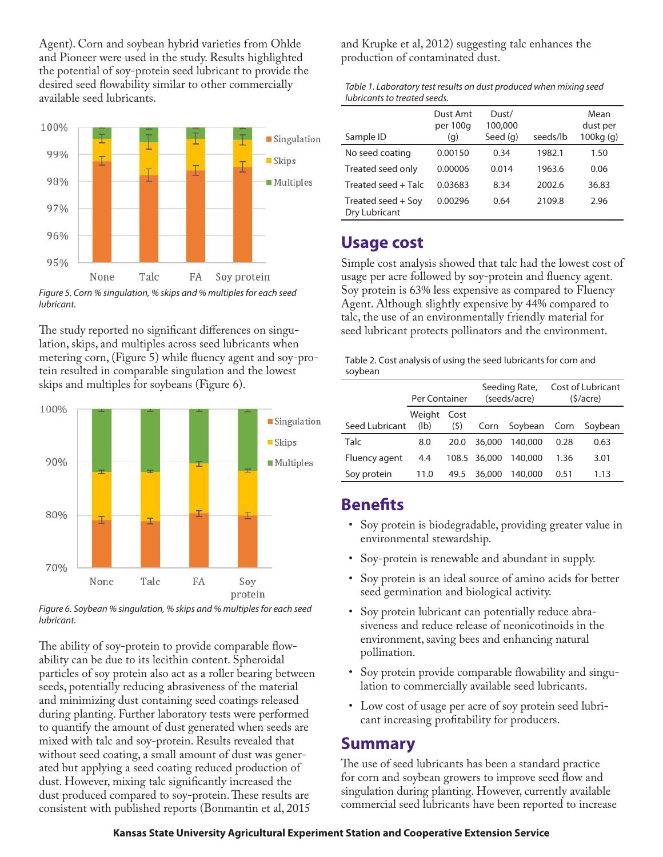Agent). Corn and soybean hybrid varieties from Ohlde and Pioneer were used in the study. Results highlighted the potential of soy-protein seed lubricant to provide the desired seed flowability similar to other commercially available seed lubricants.



*Figure 5. Corn % singulation, % skips and % multiples for each seed lubricant.*

The study reported no significant differences on singulation, skips, and multiples across seed lubricants when metering corn, (Figure 5) while fluency agent and soy-protein resulted in comparable singulation and the lowest skips and multiples for soybeans (Figure 6).



*Figure 6. Soybean % singulation, % skips and % multiples for each seed lubricant.*

The ability of soy-protein to provide comparable flowability can be due to its lecithin content. Spheroidal particles of soy protein also act as a roller bearing between seeds, potentially reducing abrasiveness of the material and minimizing dust containing seed coatings released during planting. Further laboratory tests were performed to quantify the amount of dust generated when seeds are mixed with talc and soy-protein. Results revealed that without seed coating, a small amount of dust was generated but applying a seed coating reduced production of dust. However, mixing talc significantly increased the dust produced compared to soy-protein. These results are consistent with published reports (Bonmantin et al, 2015

and Krupke et al, 2012) suggesting talc enhances the production of contaminated dust.

| Table 1. Laboratory test results on dust produced when mixing seed |  |
|--------------------------------------------------------------------|--|
| lubricants to treated seeds.                                       |  |

| Sample ID                           | Dust Amt<br>per 100g<br>(q) | Dust/<br>100,000<br>Seed (g) | seeds/lb | Mean<br>dust per<br>100kg <sub>(g)</sub> |
|-------------------------------------|-----------------------------|------------------------------|----------|------------------------------------------|
| No seed coating                     | 0.00150                     | 0.34                         | 1982.1   | 1.50                                     |
| Treated seed only                   | 0.00006                     | 0.014                        | 1963.6   | 0.06                                     |
| Treated seed + Talc                 | 0.03683                     | 8.34                         | 2002.6   | 36.83                                    |
| Treated seed + Soy<br>Dry Lubricant | 0.00296                     | 0.64                         | 2109.8   | 2.96                                     |

#### **Usage cost**

Simple cost analysis showed that talc had the lowest cost of usage per acre followed by soy-protein and fluency agent. Soy protein is 63% less expensive as compared to Fluency Agent. Although slightly expensive by 44% compared to talc, the use of an environmentally friendly material for seed lubricant protects pollinators and the environment.

Table 2. Cost analysis of using the seed lubricants for corn and soybean

|                | Per Container  |             | Seeding Rate,<br>(seeds/acre) |              | Cost of Lubricant<br>(5/acre) |         |
|----------------|----------------|-------------|-------------------------------|--------------|-------------------------------|---------|
| Seed Lubricant | Weight<br>(lb) | Cost<br>(5) | Corn                          | Soybean Corn |                               | Soybean |
| Talc           | 8.0            | 20.0        | 36,000                        | 140,000      | 0.28                          | 0.63    |
| Fluency agent  | 4.4            |             | 108.5 36,000                  | 140,000      | 1.36                          | 3.01    |
| Soy protein    | 11.0           | 49.5        | 36,000                        | 140,000      | 0.51                          | 1.13    |

### **Benefits**

- Soy protein is biodegradable, providing greater value in environmental stewardship.
- Soy-protein is renewable and abundant in supply.
- Soy protein is an ideal source of amino acids for better seed germination and biological activity.
- Soy protein lubricant can potentially reduce abrasiveness and reduce release of neonicotinoids in the environment, saving bees and enhancing natural pollination.
- Soy protein provide comparable flowability and singulation to commercially available seed lubricants.
- Low cost of usage per acre of soy protein seed lubricant increasing profitability for producers.

#### **Summary**

The use of seed lubricants has been a standard practice for corn and soybean growers to improve seed flow and singulation during planting. However, currently available commercial seed lubricants have been reported to increase